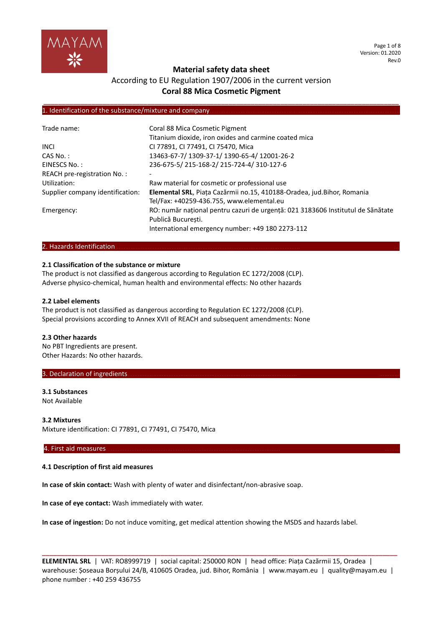

Page 1 of 8 Version: 01.2020 Rev.0

# **Material safety data sheet**

# According to EU Regulation 1907/2006 in the current version **Coral 88 Mica Cosmetic Pigment**

**\_\_\_\_\_\_\_\_\_\_\_\_\_\_\_\_\_\_\_\_\_\_\_\_\_\_\_\_\_\_\_\_\_\_\_\_\_\_\_\_\_\_\_\_\_\_\_\_\_\_\_\_\_\_\_\_\_\_\_\_\_\_\_\_\_\_\_\_\_\_\_\_\_\_\_\_\_\_\_\_\_\_\_\_\_\_\_\_\_\_\_\_\_\_\_\_**

#### 1. Identification of the substance/mixture and company

| Trade name:                      | Coral 88 Mica Cosmetic Pigment                                                  |
|----------------------------------|---------------------------------------------------------------------------------|
|                                  | Titanium dioxide, iron oxides and carmine coated mica                           |
| <b>INCI</b>                      | CI 77891, CI 77491, CI 75470, Mica                                              |
| CAS No.:                         | 13463-67-7/1309-37-1/1390-65-4/12001-26-2                                       |
| EINESCS No.:                     | 236-675-5/215-168-2/215-724-4/310-127-6                                         |
| REACH pre-registration No.:      |                                                                                 |
| Utilization:                     | Raw material for cosmetic or professional use                                   |
| Supplier company identification: | Elemental SRL, Piața Cazărmii no.15, 410188-Oradea, jud.Bihor, Romania          |
|                                  | Tel/Fax: +40259-436.755, www.elemental.eu                                       |
| Emergency:                       | RO: număr național pentru cazuri de urgență: 021 3183606 Institutul de Sănătate |
|                                  | Publică Bucuresti.                                                              |
|                                  | International emergency number: +49 180 2273-112                                |

#### 2. Hazards Identification.

#### **2.1 Classification of the substance or mixture**

The product is not classified as dangerous according to Regulation EC 1272/2008 (CLP). Adverse physico-chemical, human health and environmental effects: No other hazards

#### **2.2 Label elements**

The product is not classified as dangerous according to Regulation EC 1272/2008 (CLP). Special provisions according to Annex XVII of REACH and subsequent amendments: None

#### **2.3 Other hazards**

No PBT Ingredients are present. Other Hazards: No other hazards.

#### 3. Declaration of ingredients.

## **3.1 Substances** Not Available

**3.2 Mixtures** Mixture identification: CI 77891, CI 77491, CI 75470, Mica

#### 4. First aid measures………………………………………………………………………………………… ………

#### **4.1 Description of first aid measures**

**In case of skin contact:** Wash with plenty of water and disinfectant/non-abrasive soap.

**In case of eye contact:** Wash immediately with water.

**In case of ingestion:** Do not induce vomiting, get medical attention showing the MSDS and hazards label.

**ELEMENTAL SRL** | VAT: RO8999719 | social capital: 250000 RON | head office: Piața Cazărmii 15, Oradea | warehouse: Șoseaua Borșului 24/B, 410605 Oradea, jud. Bihor, România | www.mayam.eu | quality@mayam.eu | phone number : +40 259 436755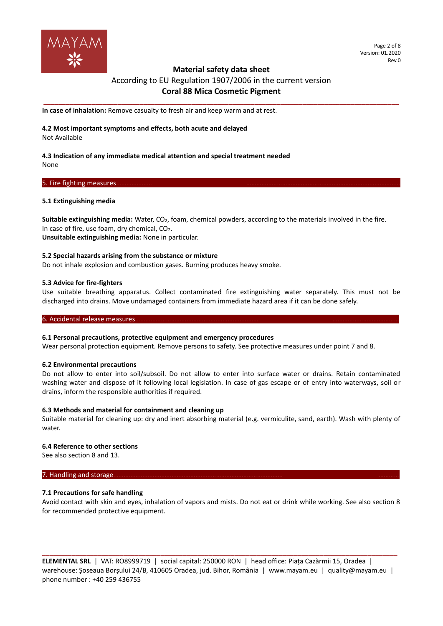

# **Material safety data sheet**  According to EU Regulation 1907/2006 in the current version **Coral 88 Mica Cosmetic Pigment**

**\_\_\_\_\_\_\_\_\_\_\_\_\_\_\_\_\_\_\_\_\_\_\_\_\_\_\_\_\_\_\_\_\_\_\_\_\_\_\_\_\_\_\_\_\_\_\_\_\_\_\_\_\_\_\_\_\_\_\_\_\_\_\_\_\_\_\_\_\_\_\_\_\_\_\_\_\_\_\_\_\_\_\_\_\_\_\_\_\_\_\_\_\_\_\_\_**

**In case of inhalation:** Remove casualty to fresh air and keep warm and at rest.

# **4.2 Most important symptoms and effects, both acute and delayed**

Not Available

#### **4.3 Indication of any immediate medical attention and special treatment needed** None

# 5. Fire fighting measures

# **5.1 Extinguishing media**

**Suitable extinguishing media:** Water, CO2, foam, chemical powders, according to the materials involved in the fire. In case of fire, use foam, dry chemical,  $CO<sub>2</sub>$ . **Unsuitable extinguishing media:** None in particular.

## **5.2 Special hazards arising from the substance or mixture**

Do not inhale explosion and combustion gases. Burning produces heavy smoke.

## **5.3 Advice for fire-fighters**

Use suitable breathing apparatus. Collect contaminated fire extinguishing water separately. This must not be discharged into drains. Move undamaged containers from immediate hazard area if it can be done safely.

#### 6. Accidental release measures.

# **6.1 Personal precautions, protective equipment and emergency procedures**

Wear personal protection equipment. Remove persons to safety. See protective measures under point 7 and 8.

#### **6.2 Environmental precautions**

Do not allow to enter into soil/subsoil. Do not allow to enter into surface water or drains. Retain contaminated washing water and dispose of it following local legislation. In case of gas escape or of entry into waterways, soil or drains, inform the responsible authorities if required.

#### **6.3 Methods and material for containment and cleaning up**

Suitable material for cleaning up: dry and inert absorbing material (e.g. vermiculite, sand, earth). Wash with plenty of water.

# **6.4 Reference to other sections**

See also section 8 and 13.

## 7. Handling and storage

# **7.1 Precautions for safe handling**

Avoid contact with skin and eyes, inhalation of vapors and mists. Do not eat or drink while working. See also section 8 for recommended protective equipment.

**ELEMENTAL SRL** | VAT: RO8999719 | social capital: 250000 RON | head office: Piața Cazărmii 15, Oradea | warehouse: Șoseaua Borșului 24/B, 410605 Oradea, jud. Bihor, România | www.mayam.eu | quality@mayam.eu | phone number : +40 259 436755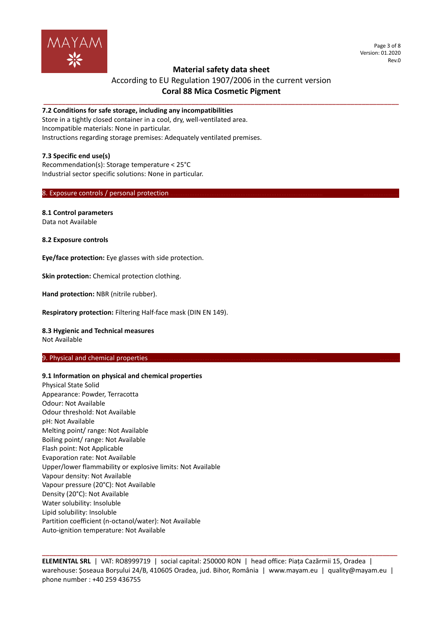

#### Page 3 of 8 Version: 01.2020 Rev.0

# **Material safety data sheet**

# According to EU Regulation 1907/2006 in the current version **Coral 88 Mica Cosmetic Pigment**

**\_\_\_\_\_\_\_\_\_\_\_\_\_\_\_\_\_\_\_\_\_\_\_\_\_\_\_\_\_\_\_\_\_\_\_\_\_\_\_\_\_\_\_\_\_\_\_\_\_\_\_\_\_\_\_\_\_\_\_\_\_\_\_\_\_\_\_\_\_\_\_\_\_\_\_\_\_\_\_\_\_\_\_\_\_\_\_\_\_\_\_\_\_\_\_\_**

## **7.2 Conditions for safe storage, including any incompatibilities**

Store in a tightly closed container in a cool, dry, well-ventilated area. Incompatible materials: None in particular. Instructions regarding storage premises: Adequately ventilated premises.

## **7.3 Specific end use(s)**

Recommendation(s): Storage temperature < 25°C Industrial sector specific solutions: None in particular.

#### 8. Exposure controls / personal protection.

# **8.1 Control parameters**

Data not Available

**8.2 Exposure controls**

**Eye/face protection:** Eye glasses with side protection.

**Skin protection:** Chemical protection clothing.

**Hand protection:** NBR (nitrile rubber).

**Respiratory protection:** Filtering Half-face mask (DIN EN 149).

# **8.3 Hygienic and Technical measures**

Not Available

#### 9. Physical and chemical properties

#### **9.1 Information on physical and chemical properties**

Physical State Solid Appearance: Powder, Terracotta Odour: Not Available Odour threshold: Not Available pH: Not Available Melting point/ range: Not Available Boiling point/ range: Not Available Flash point: Not Applicable Evaporation rate: Not Available Upper/lower flammability or explosive limits: Not Available Vapour density: Not Available Vapour pressure (20°C): Not Available Density (20°C): Not Available Water solubility: Insoluble Lipid solubility: Insoluble Partition coefficient (n-octanol/water): Not Available Auto-ignition temperature: Not Available

**ELEMENTAL SRL** | VAT: RO8999719 | social capital: 250000 RON | head office: Piața Cazărmii 15, Oradea | warehouse: Șoseaua Borșului 24/B, 410605 Oradea, jud. Bihor, România | www.mayam.eu | quality@mayam.eu | phone number : +40 259 436755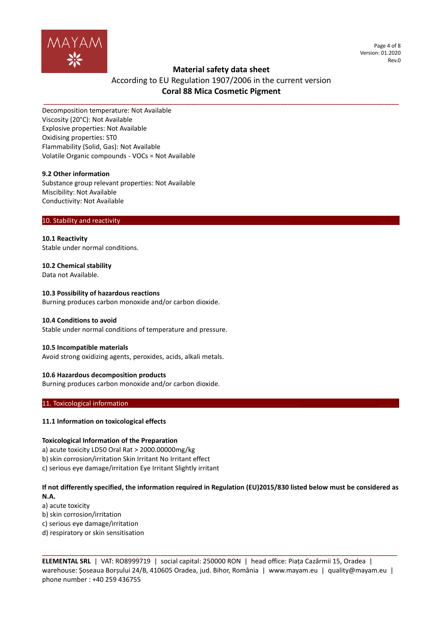

Page 4 of 8 Version: 01.2020 Rev.0

# **Material safety data sheet**

# According to EU Regulation 1907/2006 in the current version **Coral 88 Mica Cosmetic Pigment**

**\_\_\_\_\_\_\_\_\_\_\_\_\_\_\_\_\_\_\_\_\_\_\_\_\_\_\_\_\_\_\_\_\_\_\_\_\_\_\_\_\_\_\_\_\_\_\_\_\_\_\_\_\_\_\_\_\_\_\_\_\_\_\_\_\_\_\_\_\_\_\_\_\_\_\_\_\_\_\_\_\_\_\_\_\_\_\_\_\_\_\_\_\_\_\_\_**

Decomposition temperature: Not Available Viscosity (20°C): Not Available Explosive properties: Not Available Oxidising properties: ST0 Flammability (Solid, Gas): Not Available Volatile Organic compounds - VOCs = Not Available

#### **9.2 Other information**

Substance group relevant properties: Not Available Miscibility: Not Available Conductivity: Not Available

#### 10. Stability and reactivity

**10.1 Reactivity** Stable under normal conditions.

**10.2 Chemical stability**

Data not Available.

# **10.3 Possibility of hazardous reactions**

Burning produces carbon monoxide and/or carbon dioxide.

# **10.4 Conditions to avoid**

Stable under normal conditions of temperature and pressure.

# **10.5 Incompatible materials**

Avoid strong oxidizing agents, peroxides, acids, alkali metals.

# **10.6 Hazardous decomposition products**

Burning produces carbon monoxide and/or carbon dioxide.

## 11. Toxicological information.

# **11.1 Information on toxicological effects**

# **Toxicological Information of the Preparation**

a) acute toxicity LD50 Oral Rat > 2000.00000mg/kg

b) skin corrosion/irritation Skin Irritant No Irritant effect

c) serious eye damage/irritation Eye Irritant Slightly irritant

# **If not differently specified, the information required in Regulation (EU)2015/830 listed below must be considered as**

**N.A.** a) acute toxicity

b) skin corrosion/irritation

c) serious eye damage/irritation

d) respiratory or skin sensitisation

**ELEMENTAL SRL** | VAT: RO8999719 | social capital: 250000 RON | head office: Piața Cazărmii 15, Oradea | warehouse: Șoseaua Borșului 24/B, 410605 Oradea, jud. Bihor, România | www.mayam.eu | quality@mayam.eu | phone number : +40 259 436755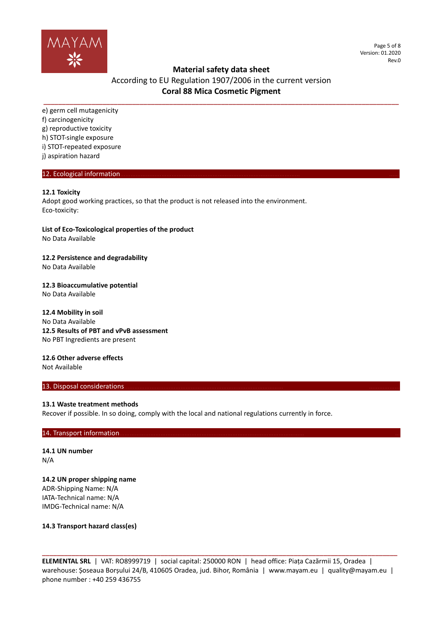

Page 5 of 8 Version: 01.2020 Rev.0

# **Material safety data sheet**

# According to EU Regulation 1907/2006 in the current version **Coral 88 Mica Cosmetic Pigment**

**\_\_\_\_\_\_\_\_\_\_\_\_\_\_\_\_\_\_\_\_\_\_\_\_\_\_\_\_\_\_\_\_\_\_\_\_\_\_\_\_\_\_\_\_\_\_\_\_\_\_\_\_\_\_\_\_\_\_\_\_\_\_\_\_\_\_\_\_\_\_\_\_\_\_\_\_\_\_\_\_\_\_\_\_\_\_\_\_\_\_\_\_\_\_\_\_**

e) germ cell mutagenicity f) carcinogenicity g) reproductive toxicity h) STOT-single exposure i) STOT-repeated exposure j) aspiration hazard

## 12. Ecological information.

# **12.1 Toxicity**

Adopt good working practices, so that the product is not released into the environment. Eco-toxicity:

**List of Eco-Toxicological properties of the product**

No Data Available

**12.2 Persistence and degradability**

No Data Available

## **12.3 Bioaccumulative potential**

No Data Available

## **12.4 Mobility in soil**

No Data Available **12.5 Results of PBT and vPvB assessment** No PBT Ingredients are present

# **12.6 Other adverse effects**

Not Available

# 13. Disposal considerations.

#### **13.1 Waste treatment methods**

Recover if possible. In so doing, comply with the local and national regulations currently in force.

# 14. Transport information

**14.1 UN number** N/A

# **14.2 UN proper shipping name** ADR-Shipping Name: N/A

IATA-Technical name: N/A IMDG-Technical name: N/A

**14.3 Transport hazard class(es)**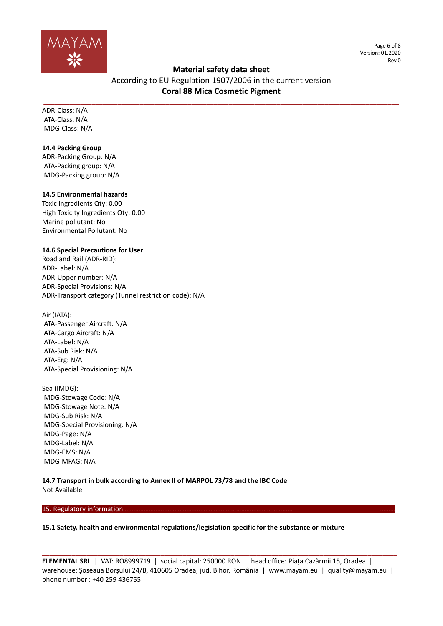

Page 6 of 8 Version: 01.2020 Rev.0

# **Material safety data sheet**

According to EU Regulation 1907/2006 in the current version **Coral 88 Mica Cosmetic Pigment**

**\_\_\_\_\_\_\_\_\_\_\_\_\_\_\_\_\_\_\_\_\_\_\_\_\_\_\_\_\_\_\_\_\_\_\_\_\_\_\_\_\_\_\_\_\_\_\_\_\_\_\_\_\_\_\_\_\_\_\_\_\_\_\_\_\_\_\_\_\_\_\_\_\_\_\_\_\_\_\_\_\_\_\_\_\_\_\_\_\_\_\_\_\_\_\_\_**

ADR-Class: N/A IATA-Class: N/A IMDG-Class: N/A

# **14.4 Packing Group**

ADR-Packing Group: N/A IATA-Packing group: N/A IMDG-Packing group: N/A

# **14.5 Environmental hazards**

Toxic Ingredients Qty: 0.00 High Toxicity Ingredients Qty: 0.00 Marine pollutant: No Environmental Pollutant: No

# **14.6 Special Precautions for User**

Road and Rail (ADR-RID): ADR-Label: N/A ADR-Upper number: N/A ADR-Special Provisions: N/A ADR-Transport category (Tunnel restriction code): N/A

Air (IATA): IATA-Passenger Aircraft: N/A IATA-Cargo Aircraft: N/A IATA-Label: N/A IATA-Sub Risk: N/A IATA-Erg: N/A IATA-Special Provisioning: N/A

Sea (IMDG): IMDG-Stowage Code: N/A IMDG-Stowage Note: N/A IMDG-Sub Risk: N/A IMDG-Special Provisioning: N/A IMDG-Page: N/A IMDG-Label: N/A IMDG-EMS: N/A IMDG-MFAG: N/A

**14.7 Transport in bulk according to Annex II of MARPOL 73/78 and the IBC Code** Not Available

# 15. Regulatory information.

# **15.1 Safety, health and environmental regulations/legislation specific for the substance or mixture**

**ELEMENTAL SRL** | VAT: RO8999719 | social capital: 250000 RON | head office: Piața Cazărmii 15, Oradea | warehouse: Șoseaua Borșului 24/B, 410605 Oradea, jud. Bihor, România | www.mayam.eu | quality@mayam.eu | phone number : +40 259 436755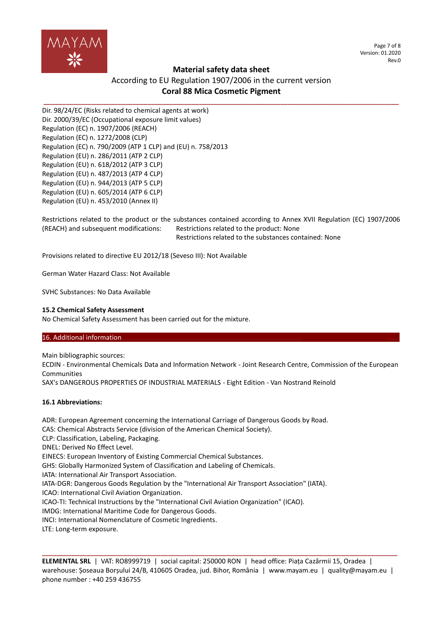

Page 7 of 8 Version: 01.2020 Rev.0

# **Material safety data sheet**

# According to EU Regulation 1907/2006 in the current version **Coral 88 Mica Cosmetic Pigment**

**\_\_\_\_\_\_\_\_\_\_\_\_\_\_\_\_\_\_\_\_\_\_\_\_\_\_\_\_\_\_\_\_\_\_\_\_\_\_\_\_\_\_\_\_\_\_\_\_\_\_\_\_\_\_\_\_\_\_\_\_\_\_\_\_\_\_\_\_\_\_\_\_\_\_\_\_\_\_\_\_\_\_\_\_\_\_\_\_\_\_\_\_\_\_\_\_**

Dir. 98/24/EC (Risks related to chemical agents at work) Dir. 2000/39/EC (Occupational exposure limit values) Regulation (EC) n. 1907/2006 (REACH) Regulation (EC) n. 1272/2008 (CLP) Regulation (EC) n. 790/2009 (ATP 1 CLP) and (EU) n. 758/2013 Regulation (EU) n. 286/2011 (ATP 2 CLP) Regulation (EU) n. 618/2012 (ATP 3 CLP) Regulation (EU) n. 487/2013 (ATP 4 CLP) Regulation (EU) n. 944/2013 (ATP 5 CLP) Regulation (EU) n. 605/2014 (ATP 6 CLP) Regulation (EU) n. 453/2010 (Annex II)

Restrictions related to the product or the substances contained according to Annex XVII Regulation (EC) 1907/2006 (REACH) and subsequent modifications: Restrictions related to the product: None Restrictions related to the substances contained: None

Provisions related to directive EU 2012/18 (Seveso III): Not Available

German Water Hazard Class: Not Available

SVHC Substances: No Data Available

# **15.2 Chemical Safety Assessment**

No Chemical Safety Assessment has been carried out for the mixture.

# 16. Additional information

Main bibliographic sources:

ECDIN - Environmental Chemicals Data and Information Network - Joint Research Centre, Commission of the European Communities

SAX's DANGEROUS PROPERTIES OF INDUSTRIAL MATERIALS - Eight Edition - Van Nostrand Reinold

# **16.1 Abbreviations:**

ADR: European Agreement concerning the International Carriage of Dangerous Goods by Road. CAS: Chemical Abstracts Service (division of the American Chemical Society). CLP: Classification, Labeling, Packaging. DNEL: Derived No Effect Level. EINECS: European Inventory of Existing Commercial Chemical Substances. GHS: Globally Harmonized System of Classification and Labeling of Chemicals. IATA: International Air Transport Association. IATA-DGR: Dangerous Goods Regulation by the "International Air Transport Association" (IATA). ICAO: International Civil Aviation Organization. ICAO-TI: Technical Instructions by the "International Civil Aviation Organization" (ICAO). IMDG: International Maritime Code for Dangerous Goods. INCI: International Nomenclature of Cosmetic Ingredients. LTE: Long-term exposure.

**ELEMENTAL SRL** | VAT: RO8999719 | social capital: 250000 RON | head office: Piața Cazărmii 15, Oradea | warehouse: Șoseaua Borșului 24/B, 410605 Oradea, jud. Bihor, România | www.mayam.eu | quality@mayam.eu | phone number : +40 259 436755